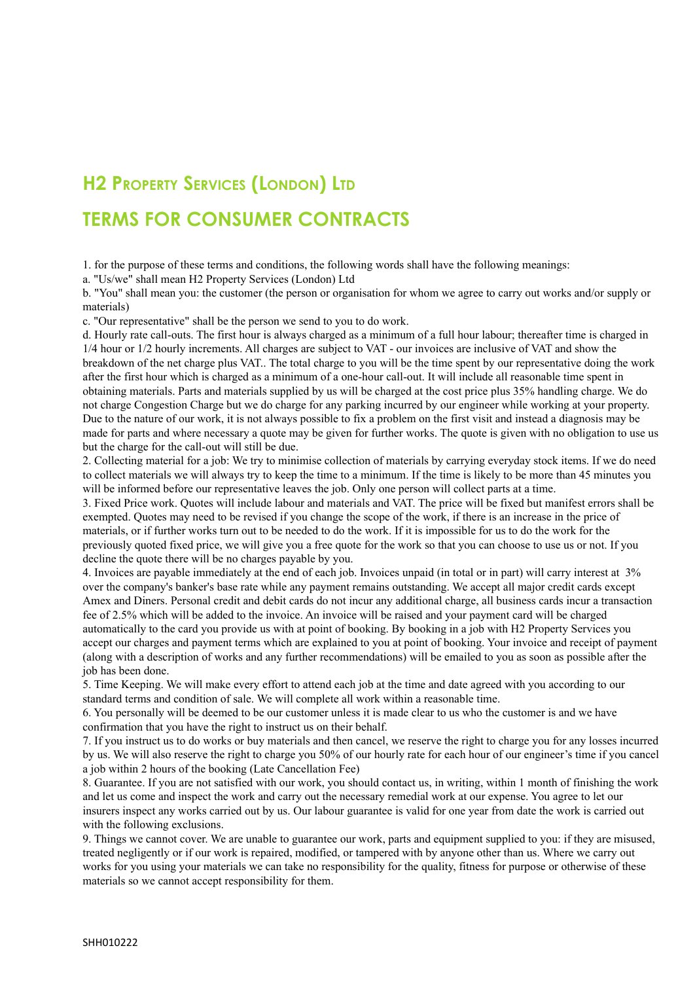## **H2 PROPERTY SERVICES (LONDON) LTD TERMS FOR CONSUMER CONTRACTS**

1. for the purpose of these terms and conditions, the following words shall have the following meanings:

a. "Us/we" shall mean H2 Property Services (London) Ltd

b. "You" shall mean you: the customer (the person or organisation for whom we agree to carry out works and/or supply or materials)

c. "Our representative" shall be the person we send to you to do work.

d. Hourly rate call-outs. The first hour is always charged as a minimum of a full hour labour; thereafter time is charged in 1/4 hour or 1/2 hourly increments. All charges are subject to VAT - our invoices are inclusive of VAT and show the breakdown of the net charge plus VAT.. The total charge to you will be the time spent by our representative doing the work after the first hour which is charged as a minimum of a one-hour call-out. It will include all reasonable time spent in obtaining materials. Parts and materials supplied by us will be charged at the cost price plus 35% handling charge. We do not charge Congestion Charge but we do charge for any parking incurred by our engineer while working at your property. Due to the nature of our work, it is not always possible to fix a problem on the first visit and instead a diagnosis may be made for parts and where necessary a quote may be given for further works. The quote is given with no obligation to use us but the charge for the call-out will still be due.

2. Collecting material for a job: We try to minimise collection of materials by carrying everyday stock items. If we do need to collect materials we will always try to keep the time to a minimum. If the time is likely to be more than 45 minutes you will be informed before our representative leaves the job. Only one person will collect parts at a time.

3. Fixed Price work. Quotes will include labour and materials and VAT. The price will be fixed but manifest errors shall be exempted. Quotes may need to be revised if you change the scope of the work, if there is an increase in the price of materials, or if further works turn out to be needed to do the work. If it is impossible for us to do the work for the previously quoted fixed price, we will give you a free quote for the work so that you can choose to use us or not. If you decline the quote there will be no charges payable by you.

4. Invoices are payable immediately at the end of each job. Invoices unpaid (in total or in part) will carry interest at 3% over the company's banker's base rate while any payment remains outstanding. We accept all major credit cards except Amex and Diners. Personal credit and debit cards do not incur any additional charge, all business cards incur a transaction fee of 2.5% which will be added to the invoice. An invoice will be raised and your payment card will be charged automatically to the card you provide us with at point of booking. By booking in a job with H2 Property Services you accept our charges and payment terms which are explained to you at point of booking. Your invoice and receipt of payment (along with a description of works and any further recommendations) will be emailed to you as soon as possible after the job has been done.

5. Time Keeping. We will make every effort to attend each job at the time and date agreed with you according to our standard terms and condition of sale. We will complete all work within a reasonable time.

6. You personally will be deemed to be our customer unless it is made clear to us who the customer is and we have confirmation that you have the right to instruct us on their behalf.

7. If you instruct us to do works or buy materials and then cancel, we reserve the right to charge you for any losses incurred by us. We will also reserve the right to charge you 50% of our hourly rate for each hour of our engineer's time if you cancel a job within 2 hours of the booking (Late Cancellation Fee)

8. Guarantee. If you are not satisfied with our work, you should contact us, in writing, within 1 month of finishing the work and let us come and inspect the work and carry out the necessary remedial work at our expense. You agree to let our insurers inspect any works carried out by us. Our labour guarantee is valid for one year from date the work is carried out with the following exclusions.

9. Things we cannot cover. We are unable to guarantee our work, parts and equipment supplied to you: if they are misused, treated negligently or if our work is repaired, modified, or tampered with by anyone other than us. Where we carry out works for you using your materials we can take no responsibility for the quality, fitness for purpose or otherwise of these materials so we cannot accept responsibility for them.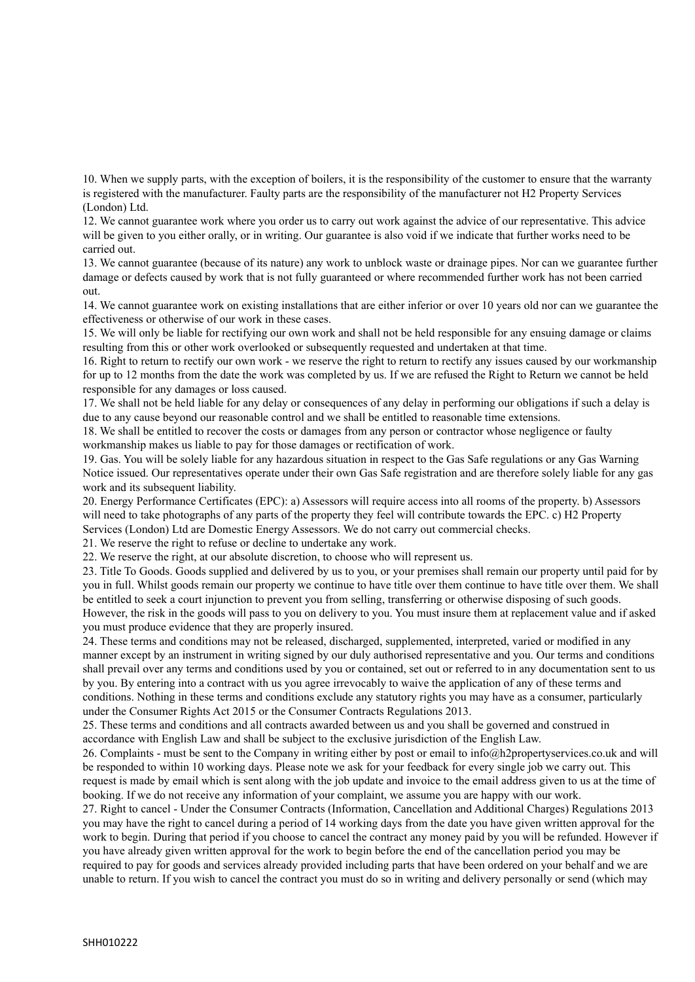10. When we supply parts, with the exception of boilers, it is the responsibility of the customer to ensure that the warranty is registered with the manufacturer. Faulty parts are the responsibility of the manufacturer not H2 Property Services (London) Ltd.

12. We cannot guarantee work where you order us to carry out work against the advice of our representative. This advice will be given to you either orally, or in writing. Our guarantee is also void if we indicate that further works need to be carried out.

13. We cannot guarantee (because of its nature) any work to unblock waste or drainage pipes. Nor can we guarantee further damage or defects caused by work that is not fully guaranteed or where recommended further work has not been carried out.

14. We cannot guarantee work on existing installations that are either inferior or over 10 years old nor can we guarantee the effectiveness or otherwise of our work in these cases.

15. We will only be liable for rectifying our own work and shall not be held responsible for any ensuing damage or claims resulting from this or other work overlooked or subsequently requested and undertaken at that time.

16. Right to return to rectify our own work - we reserve the right to return to rectify any issues caused by our workmanship for up to 12 months from the date the work was completed by us. If we are refused the Right to Return we cannot be held responsible for any damages or loss caused.

17. We shall not be held liable for any delay or consequences of any delay in performing our obligations if such a delay is due to any cause beyond our reasonable control and we shall be entitled to reasonable time extensions.

18. We shall be entitled to recover the costs or damages from any person or contractor whose negligence or faulty workmanship makes us liable to pay for those damages or rectification of work.

19. Gas. You will be solely liable for any hazardous situation in respect to the Gas Safe regulations or any Gas Warning Notice issued. Our representatives operate under their own Gas Safe registration and are therefore solely liable for any gas work and its subsequent liability.

20. Energy Performance Certificates (EPC): a) Assessors will require access into all rooms of the property. b) Assessors will need to take photographs of any parts of the property they feel will contribute towards the EPC. c) H2 Property Services (London) Ltd are Domestic Energy Assessors. We do not carry out commercial checks.

21. We reserve the right to refuse or decline to undertake any work.

22. We reserve the right, at our absolute discretion, to choose who will represent us.

23. Title To Goods. Goods supplied and delivered by us to you, or your premises shall remain our property until paid for by you in full. Whilst goods remain our property we continue to have title over them continue to have title over them. We shall be entitled to seek a court injunction to prevent you from selling, transferring or otherwise disposing of such goods. However, the risk in the goods will pass to you on delivery to you. You must insure them at replacement value and if asked you must produce evidence that they are properly insured.

24. These terms and conditions may not be released, discharged, supplemented, interpreted, varied or modified in any manner except by an instrument in writing signed by our duly authorised representative and you. Our terms and conditions shall prevail over any terms and conditions used by you or contained, set out or referred to in any documentation sent to us by you. By entering into a contract with us you agree irrevocably to waive the application of any of these terms and conditions. Nothing in these terms and conditions exclude any statutory rights you may have as a consumer, particularly under the Consumer Rights Act 2015 or the Consumer Contracts Regulations 2013.

25. These terms and conditions and all contracts awarded between us and you shall be governed and construed in accordance with English Law and shall be subject to the exclusive jurisdiction of the English Law.

26. Complaints - must be sent to the Company in writing either by post or email to info@h2propertyservices.co.uk and will be responded to within 10 working days. Please note we ask for your feedback for every single job we carry out. This request is made by email which is sent along with the job update and invoice to the email address given to us at the time of booking. If we do not receive any information of your complaint, we assume you are happy with our work.

27. Right to cancel - Under the Consumer Contracts (Information, Cancellation and Additional Charges) Regulations 2013 you may have the right to cancel during a period of 14 working days from the date you have given written approval for the work to begin. During that period if you choose to cancel the contract any money paid by you will be refunded. However if you have already given written approval for the work to begin before the end of the cancellation period you may be required to pay for goods and services already provided including parts that have been ordered on your behalf and we are unable to return. If you wish to cancel the contract you must do so in writing and delivery personally or send (which may